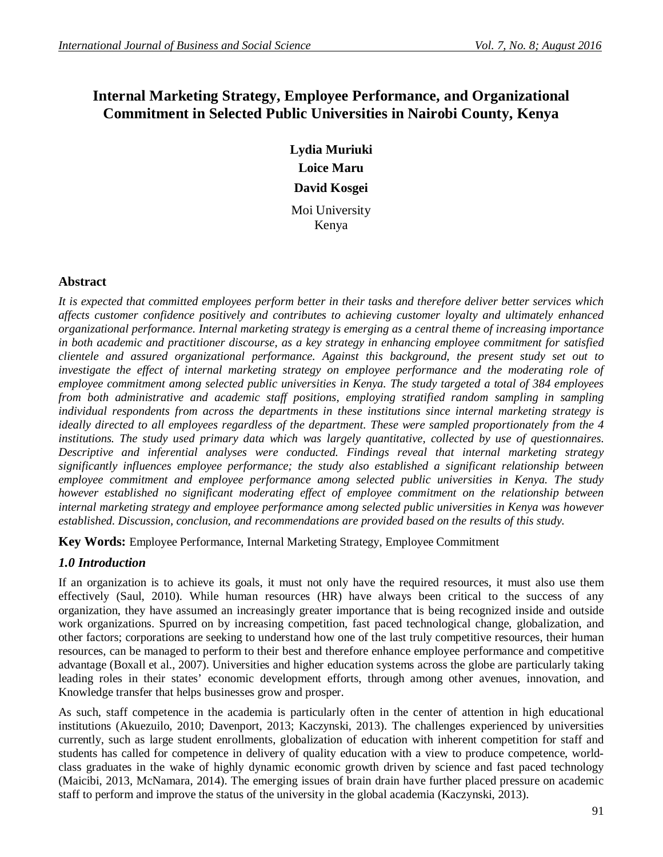# **Internal Marketing Strategy, Employee Performance, and Organizational Commitment in Selected Public Universities in Nairobi County, Kenya**

**Lydia Muriuki Loice Maru David Kosgei** Moi University Kenya

## **Abstract**

*It is expected that committed employees perform better in their tasks and therefore deliver better services which affects customer confidence positively and contributes to achieving customer loyalty and ultimately enhanced organizational performance. Internal marketing strategy is emerging as a central theme of increasing importance in both academic and practitioner discourse, as a key strategy in enhancing employee commitment for satisfied clientele and assured organizational performance. Against this background, the present study set out to investigate the effect of internal marketing strategy on employee performance and the moderating role of employee commitment among selected public universities in Kenya. The study targeted a total of 384 employees*  from both administrative and academic staff positions, employing stratified random sampling in sampling *individual respondents from across the departments in these institutions since internal marketing strategy is ideally directed to all employees regardless of the department. These were sampled proportionately from the 4 institutions. The study used primary data which was largely quantitative, collected by use of questionnaires. Descriptive and inferential analyses were conducted. Findings reveal that internal marketing strategy significantly influences employee performance; the study also established a significant relationship between employee commitment and employee performance among selected public universities in Kenya. The study however established no significant moderating effect of employee commitment on the relationship between internal marketing strategy and employee performance among selected public universities in Kenya was however established. Discussion, conclusion, and recommendations are provided based on the results of this study.*

**Key Words:** Employee Performance, Internal Marketing Strategy, Employee Commitment

## *1.0 Introduction*

If an organization is to achieve its goals, it must not only have the required resources, it must also use them effectively (Saul, 2010). While human resources (HR) have always been critical to the success of any organization, they have assumed an increasingly greater importance that is being recognized inside and outside work organizations. Spurred on by increasing competition, fast paced technological change, globalization, and other factors; corporations are seeking to understand how one of the last truly competitive resources, their human resources, can be managed to perform to their best and therefore enhance employee performance and competitive advantage (Boxall et al., 2007). Universities and higher education systems across the globe are particularly taking leading roles in their states' economic development efforts, through among other avenues, innovation, and Knowledge transfer that helps businesses grow and prosper.

As such, staff competence in the academia is particularly often in the center of attention in high educational institutions (Akuezuilo, 2010; Davenport, 2013; Kaczynski, 2013). The challenges experienced by universities currently, such as large student enrollments, globalization of education with inherent competition for staff and students has called for competence in delivery of quality education with a view to produce competence, worldclass graduates in the wake of highly dynamic economic growth driven by science and fast paced technology (Maicibi, 2013, McNamara, 2014). The emerging issues of brain drain have further placed pressure on academic staff to perform and improve the status of the university in the global academia (Kaczynski, 2013).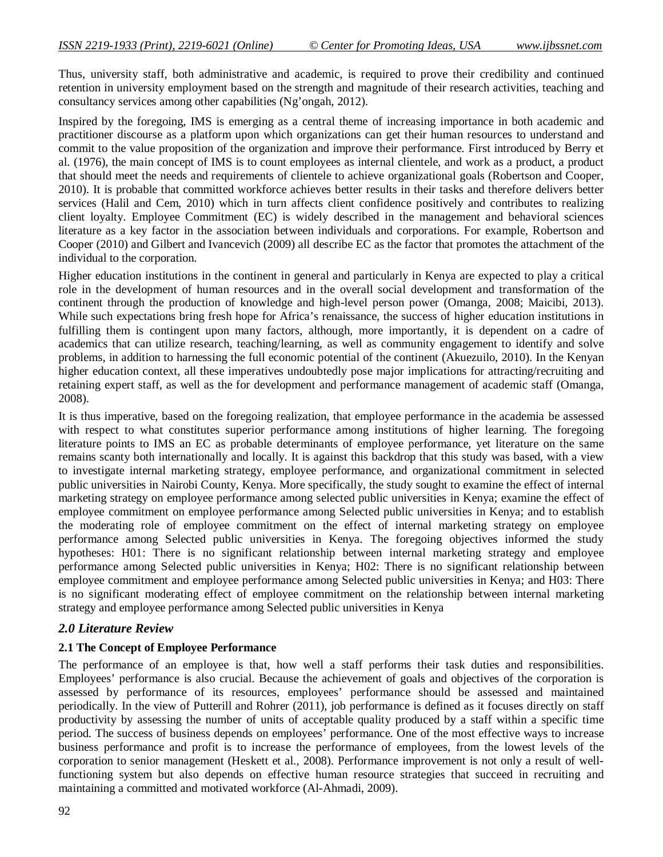Thus, university staff, both administrative and academic, is required to prove their credibility and continued retention in university employment based on the strength and magnitude of their research activities, teaching and consultancy services among other capabilities (Ng'ongah, 2012).

Inspired by the foregoing, IMS is emerging as a central theme of increasing importance in both academic and practitioner discourse as a platform upon which organizations can get their human resources to understand and commit to the value proposition of the organization and improve their performance. First introduced by Berry et al. (1976), the main concept of IMS is to count employees as internal clientele, and work as a product, a product that should meet the needs and requirements of clientele to achieve organizational goals (Robertson and Cooper, 2010). It is probable that committed workforce achieves better results in their tasks and therefore delivers better services (Halil and Cem, 2010) which in turn affects client confidence positively and contributes to realizing client loyalty. Employee Commitment (EC) is widely described in the management and behavioral sciences literature as a key factor in the association between individuals and corporations. For example, Robertson and Cooper (2010) and Gilbert and Ivancevich (2009) all describe EC as the factor that promotes the attachment of the individual to the corporation.

Higher education institutions in the continent in general and particularly in Kenya are expected to play a critical role in the development of human resources and in the overall social development and transformation of the continent through the production of knowledge and high-level person power (Omanga, 2008; Maicibi, 2013). While such expectations bring fresh hope for Africa's renaissance, the success of higher education institutions in fulfilling them is contingent upon many factors, although, more importantly, it is dependent on a cadre of academics that can utilize research, teaching/learning, as well as community engagement to identify and solve problems, in addition to harnessing the full economic potential of the continent (Akuezuilo, 2010). In the Kenyan higher education context, all these imperatives undoubtedly pose major implications for attracting/recruiting and retaining expert staff, as well as the for development and performance management of academic staff (Omanga, 2008).

It is thus imperative, based on the foregoing realization, that employee performance in the academia be assessed with respect to what constitutes superior performance among institutions of higher learning. The foregoing literature points to IMS an EC as probable determinants of employee performance, yet literature on the same remains scanty both internationally and locally. It is against this backdrop that this study was based, with a view to investigate internal marketing strategy, employee performance, and organizational commitment in selected public universities in Nairobi County, Kenya. More specifically, the study sought to examine the effect of internal marketing strategy on employee performance among selected public universities in Kenya; examine the effect of employee commitment on employee performance among Selected public universities in Kenya; and to establish the moderating role of employee commitment on the effect of internal marketing strategy on employee performance among Selected public universities in Kenya. The foregoing objectives informed the study hypotheses: H01: There is no significant relationship between internal marketing strategy and employee performance among Selected public universities in Kenya; H02: There is no significant relationship between employee commitment and employee performance among Selected public universities in Kenya; and H03: There is no significant moderating effect of employee commitment on the relationship between internal marketing strategy and employee performance among Selected public universities in Kenya

#### *2.0 Literature Review*

#### **2.1 The Concept of Employee Performance**

The performance of an employee is that, how well a staff performs their task duties and responsibilities. Employees' performance is also crucial. Because the achievement of goals and objectives of the corporation is assessed by performance of its resources, employees' performance should be assessed and maintained periodically. In the view of Putterill and Rohrer (2011), job performance is defined as it focuses directly on staff productivity by assessing the number of units of acceptable quality produced by a staff within a specific time period. The success of business depends on employees' performance. One of the most effective ways to increase business performance and profit is to increase the performance of employees, from the lowest levels of the corporation to senior management (Heskett et al., 2008). Performance improvement is not only a result of wellfunctioning system but also depends on effective human resource strategies that succeed in recruiting and maintaining a committed and motivated workforce (Al-Ahmadi, 2009).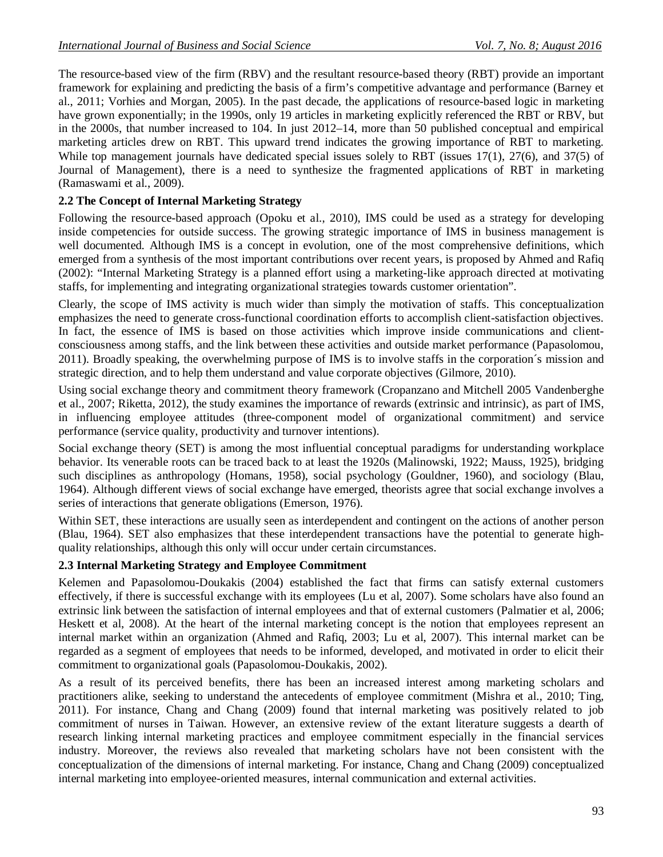The resource-based view of the firm (RBV) and the resultant resource-based theory (RBT) provide an important framework for explaining and predicting the basis of a firm's competitive advantage and performance (Barney et al., 2011; Vorhies and Morgan, 2005). In the past decade, the applications of resource-based logic in marketing have grown exponentially; in the 1990s, only 19 articles in marketing explicitly referenced the RBT or RBV, but in the 2000s, that number increased to 104. In just 2012–14, more than 50 published conceptual and empirical marketing articles drew on RBT. This upward trend indicates the growing importance of RBT to marketing. While top management journals have dedicated special issues solely to RBT (issues 17(1), 27(6), and 37(5) of Journal of Management), there is a need to synthesize the fragmented applications of RBT in marketing (Ramaswami et al., 2009).

## **2.2 The Concept of Internal Marketing Strategy**

Following the resource-based approach (Opoku et al., 2010), IMS could be used as a strategy for developing inside competencies for outside success. The growing strategic importance of IMS in business management is well documented. Although IMS is a concept in evolution, one of the most comprehensive definitions, which emerged from a synthesis of the most important contributions over recent years, is proposed by Ahmed and Rafiq (2002): "Internal Marketing Strategy is a planned effort using a marketing-like approach directed at motivating staffs, for implementing and integrating organizational strategies towards customer orientation".

Clearly, the scope of IMS activity is much wider than simply the motivation of staffs. This conceptualization emphasizes the need to generate cross-functional coordination efforts to accomplish client-satisfaction objectives. In fact, the essence of IMS is based on those activities which improve inside communications and clientconsciousness among staffs, and the link between these activities and outside market performance (Papasolomou, 2011). Broadly speaking, the overwhelming purpose of IMS is to involve staffs in the corporation´s mission and strategic direction, and to help them understand and value corporate objectives (Gilmore, 2010).

Using social exchange theory and commitment theory framework (Cropanzano and Mitchell 2005 Vandenberghe et al., 2007; Riketta, 2012), the study examines the importance of rewards (extrinsic and intrinsic), as part of IMS, in influencing employee attitudes (three-component model of organizational commitment) and service performance (service quality, productivity and turnover intentions).

Social exchange theory (SET) is among the most influential conceptual paradigms for understanding workplace behavior. Its venerable roots can be traced back to at least the 1920s (Malinowski, 1922; Mauss, 1925), bridging such disciplines as anthropology (Homans, 1958), social psychology (Gouldner, 1960), and sociology (Blau, 1964). Although different views of social exchange have emerged, theorists agree that social exchange involves a series of interactions that generate obligations (Emerson, 1976).

Within SET, these interactions are usually seen as interdependent and contingent on the actions of another person (Blau, 1964). SET also emphasizes that these interdependent transactions have the potential to generate highquality relationships, although this only will occur under certain circumstances.

## **2.3 Internal Marketing Strategy and Employee Commitment**

Kelemen and Papasolomou-Doukakis (2004) established the fact that firms can satisfy external customers effectively, if there is successful exchange with its employees (Lu et al, 2007). Some scholars have also found an extrinsic link between the satisfaction of internal employees and that of external customers (Palmatier et al, 2006; Heskett et al, 2008). At the heart of the internal marketing concept is the notion that employees represent an internal market within an organization (Ahmed and Rafiq, 2003; Lu et al, 2007). This internal market can be regarded as a segment of employees that needs to be informed, developed, and motivated in order to elicit their commitment to organizational goals (Papasolomou-Doukakis, 2002).

As a result of its perceived benefits, there has been an increased interest among marketing scholars and practitioners alike, seeking to understand the antecedents of employee commitment (Mishra et al., 2010; Ting, 2011). For instance, Chang and Chang (2009) found that internal marketing was positively related to job commitment of nurses in Taiwan. However, an extensive review of the extant literature suggests a dearth of research linking internal marketing practices and employee commitment especially in the financial services industry. Moreover, the reviews also revealed that marketing scholars have not been consistent with the conceptualization of the dimensions of internal marketing. For instance, Chang and Chang (2009) conceptualized internal marketing into employee-oriented measures, internal communication and external activities.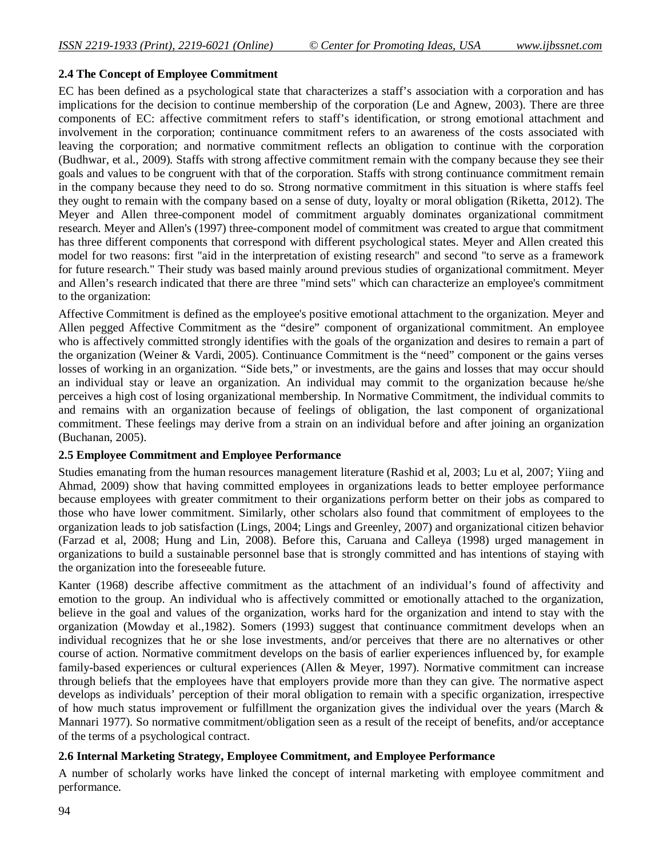#### **2.4 The Concept of Employee Commitment**

EC has been defined as a psychological state that characterizes a staff's association with a corporation and has implications for the decision to continue membership of the corporation (Le and Agnew, 2003). There are three components of EC: affective commitment refers to staff's identification, or strong emotional attachment and involvement in the corporation; continuance commitment refers to an awareness of the costs associated with leaving the corporation; and normative commitment reflects an obligation to continue with the corporation (Budhwar, et al., 2009). Staffs with strong affective commitment remain with the company because they see their goals and values to be congruent with that of the corporation. Staffs with strong continuance commitment remain in the company because they need to do so. Strong normative commitment in this situation is where staffs feel they ought to remain with the company based on a sense of duty, loyalty or moral obligation (Riketta, 2012). The Meyer and Allen three-component model of commitment arguably dominates organizational commitment research. Meyer and Allen's (1997) three-component model of commitment was created to argue that commitment has three different components that correspond with different psychological states. Meyer and Allen created this model for two reasons: first "aid in the interpretation of existing research" and second "to serve as a framework for future research." Their study was based mainly around previous studies of organizational commitment. Meyer and Allen's research indicated that there are three "mind sets" which can characterize an employee's commitment to the organization:

Affective Commitment is defined as the employee's positive emotional attachment to the organization. Meyer and Allen pegged Affective Commitment as the "desire" component of organizational commitment. An employee who is affectively committed strongly identifies with the goals of the organization and desires to remain a part of the organization (Weiner & Vardi, 2005). Continuance Commitment is the "need" component or the gains verses losses of working in an organization. "Side bets," or investments, are the gains and losses that may occur should an individual stay or leave an organization. An individual may commit to the organization because he/she perceives a high cost of losing organizational membership. In Normative Commitment, the individual commits to and remains with an organization because of feelings of obligation, the last component of organizational commitment. These feelings may derive from a strain on an individual before and after joining an organization (Buchanan, 2005).

#### **2.5 Employee Commitment and Employee Performance**

Studies emanating from the human resources management literature (Rashid et al, 2003; Lu et al, 2007; Yiing and Ahmad, 2009) show that having committed employees in organizations leads to better employee performance because employees with greater commitment to their organizations perform better on their jobs as compared to those who have lower commitment. Similarly, other scholars also found that commitment of employees to the organization leads to job satisfaction (Lings, 2004; Lings and Greenley, 2007) and organizational citizen behavior (Farzad et al, 2008; Hung and Lin, 2008). Before this, Caruana and Calleya (1998) urged management in organizations to build a sustainable personnel base that is strongly committed and has intentions of staying with the organization into the foreseeable future.

Kanter (1968) describe affective commitment as the attachment of an individual's found of affectivity and emotion to the group. An individual who is affectively committed or emotionally attached to the organization, believe in the goal and values of the organization, works hard for the organization and intend to stay with the organization (Mowday et al.,1982). Somers (1993) suggest that continuance commitment develops when an individual recognizes that he or she lose investments, and/or perceives that there are no alternatives or other course of action. Normative commitment develops on the basis of earlier experiences influenced by, for example family-based experiences or cultural experiences (Allen & Meyer, 1997). Normative commitment can increase through beliefs that the employees have that employers provide more than they can give. The normative aspect develops as individuals' perception of their moral obligation to remain with a specific organization, irrespective of how much status improvement or fulfillment the organization gives the individual over the years (March & Mannari 1977). So normative commitment/obligation seen as a result of the receipt of benefits, and/or acceptance of the terms of a psychological contract.

## **2.6 Internal Marketing Strategy, Employee Commitment, and Employee Performance**

A number of scholarly works have linked the concept of internal marketing with employee commitment and performance.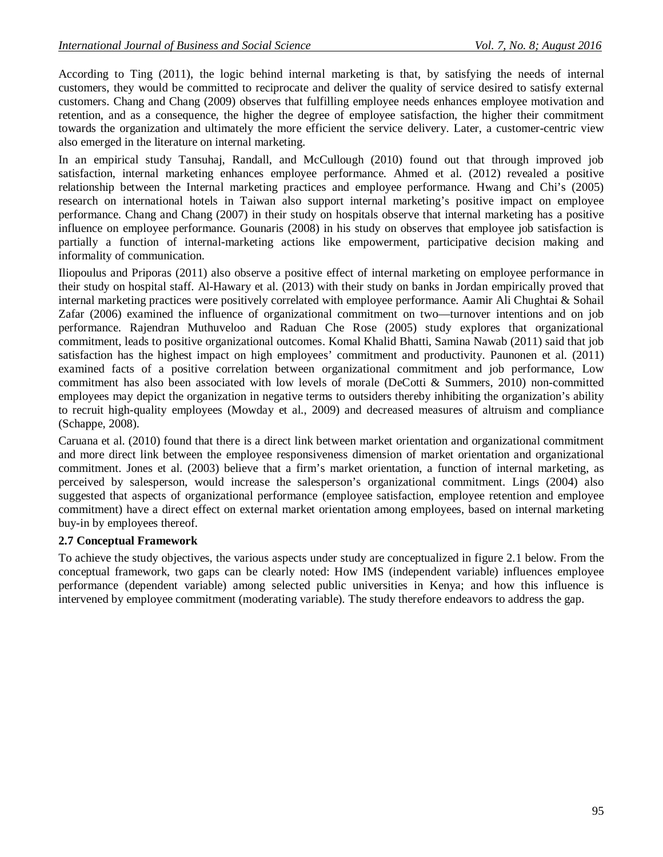According to Ting (2011), the logic behind internal marketing is that, by satisfying the needs of internal customers, they would be committed to reciprocate and deliver the quality of service desired to satisfy external customers. Chang and Chang (2009) observes that fulfilling employee needs enhances employee motivation and retention, and as a consequence, the higher the degree of employee satisfaction, the higher their commitment towards the organization and ultimately the more efficient the service delivery. Later, a customer-centric view also emerged in the literature on internal marketing.

In an empirical study Tansuhaj, Randall, and McCullough (2010) found out that through improved job satisfaction, internal marketing enhances employee performance. Ahmed et al. (2012) revealed a positive relationship between the Internal marketing practices and employee performance. Hwang and Chi's (2005) research on international hotels in Taiwan also support internal marketing's positive impact on employee performance. Chang and Chang (2007) in their study on hospitals observe that internal marketing has a positive influence on employee performance. Gounaris (2008) in his study on observes that employee job satisfaction is partially a function of internal-marketing actions like empowerment, participative decision making and informality of communication.

Iliopoulus and Priporas (2011) also observe a positive effect of internal marketing on employee performance in their study on hospital staff. Al-Hawary et al. (2013) with their study on banks in Jordan empirically proved that internal marketing practices were positively correlated with employee performance. Aamir Ali Chughtai & Sohail Zafar (2006) examined the influence of organizational commitment on two—turnover intentions and on job performance. Rajendran Muthuveloo and Raduan Che Rose (2005) study explores that organizational commitment, leads to positive organizational outcomes. Komal Khalid Bhatti, Samina Nawab (2011) said that job satisfaction has the highest impact on high employees' commitment and productivity. Paunonen et al. (2011) examined facts of a positive correlation between organizational commitment and job performance, Low commitment has also been associated with low levels of morale (DeCotti & Summers, 2010) non-committed employees may depict the organization in negative terms to outsiders thereby inhibiting the organization's ability to recruit high-quality employees (Mowday et al., 2009) and decreased measures of altruism and compliance (Schappe, 2008).

Caruana et al. (2010) found that there is a direct link between market orientation and organizational commitment and more direct link between the employee responsiveness dimension of market orientation and organizational commitment. Jones et al. (2003) believe that a firm's market orientation, a function of internal marketing, as perceived by salesperson, would increase the salesperson's organizational commitment. Lings (2004) also suggested that aspects of organizational performance (employee satisfaction, employee retention and employee commitment) have a direct effect on external market orientation among employees, based on internal marketing buy-in by employees thereof.

## **2.7 Conceptual Framework**

To achieve the study objectives, the various aspects under study are conceptualized in figure 2.1 below. From the conceptual framework, two gaps can be clearly noted: How IMS (independent variable) influences employee performance (dependent variable) among selected public universities in Kenya; and how this influence is intervened by employee commitment (moderating variable). The study therefore endeavors to address the gap.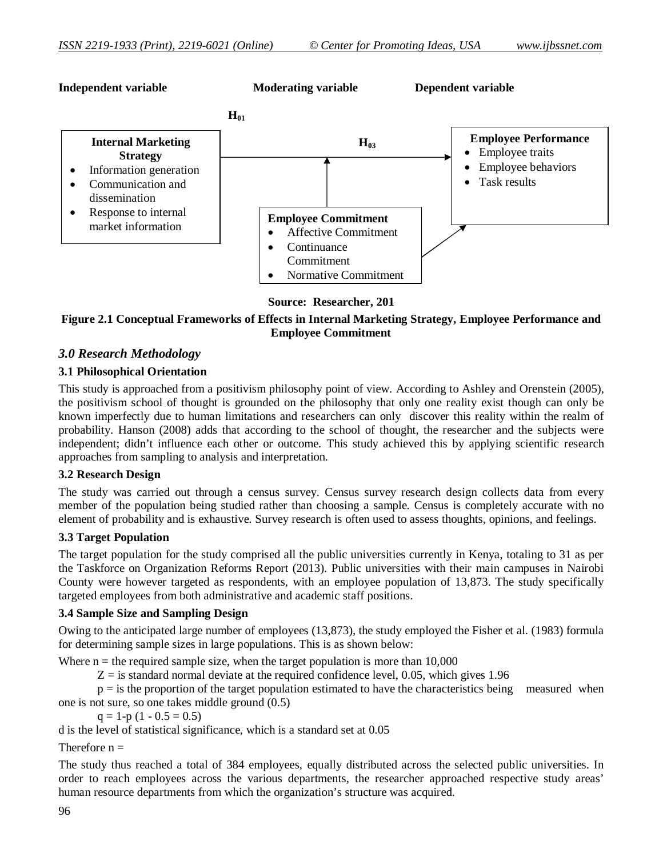

**Source: Researcher, 201**

**Figure 2.1 Conceptual Frameworks of Effects in Internal Marketing Strategy, Employee Performance and Employee Commitment**

## *3.0 Research Methodology*

## **3.1 Philosophical Orientation**

This study is approached from a positivism philosophy point of view. According to Ashley and Orenstein (2005), the positivism school of thought is grounded on the philosophy that only one reality exist though can only be known imperfectly due to human limitations and researchers can only discover this reality within the realm of probability. Hanson (2008) adds that according to the school of thought, the researcher and the subjects were independent; didn't influence each other or outcome. This study achieved this by applying scientific research approaches from sampling to analysis and interpretation.

#### **3.2 Research Design**

The study was carried out through a census survey. Census survey research design collects data from every member of the population being studied rather than choosing a sample. Census is completely accurate with no element of probability and is exhaustive. Survey research is often used to assess thoughts, opinions, and feelings.

#### **3.3 Target Population**

The target population for the study comprised all the public universities currently in Kenya, totaling to 31 as per the Taskforce on Organization Reforms Report (2013). Public universities with their main campuses in Nairobi County were however targeted as respondents, with an employee population of 13,873. The study specifically targeted employees from both administrative and academic staff positions.

## **3.4 Sample Size and Sampling Design**

Owing to the anticipated large number of employees (13,873), the study employed the Fisher et al. (1983) formula for determining sample sizes in large populations. This is as shown below:

Where  $n =$  the required sample size, when the target population is more than 10,000

 $Z =$  is standard normal deviate at the required confidence level, 0.05, which gives 1.96

 $p =$  is the proportion of the target population estimated to have the characteristics being measured when one is not sure, so one takes middle ground (0.5)

 $q = 1-p(1 - 0.5 = 0.5)$ 

d is the level of statistical significance, which is a standard set at 0.05

#### Therefore  $n =$

The study thus reached a total of 384 employees, equally distributed across the selected public universities. In order to reach employees across the various departments, the researcher approached respective study areas' human resource departments from which the organization's structure was acquired.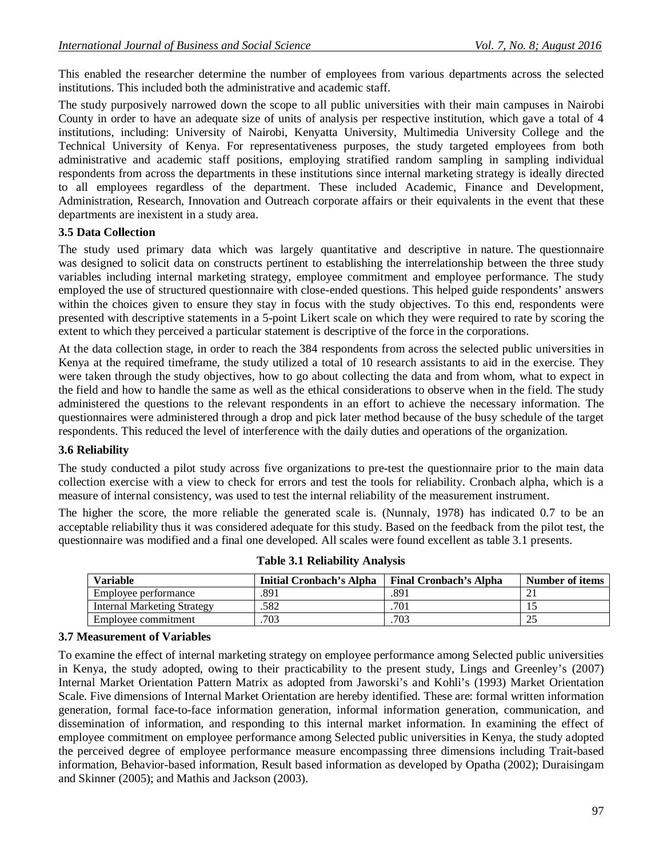This enabled the researcher determine the number of employees from various departments across the selected institutions. This included both the administrative and academic staff.

The study purposively narrowed down the scope to all public universities with their main campuses in Nairobi County in order to have an adequate size of units of analysis per respective institution, which gave a total of 4 institutions, including: University of Nairobi, Kenyatta University, Multimedia University College and the Technical University of Kenya. For representativeness purposes, the study targeted employees from both administrative and academic staff positions, employing stratified random sampling in sampling individual respondents from across the departments in these institutions since internal marketing strategy is ideally directed to all employees regardless of the department. These included Academic, Finance and Development, Administration, Research, Innovation and Outreach corporate affairs or their equivalents in the event that these departments are inexistent in a study area.

## **3.5 Data Collection**

The study used primary data which was largely quantitative and descriptive in nature. The questionnaire was designed to solicit data on constructs pertinent to establishing the interrelationship between the three study variables including internal marketing strategy, employee commitment and employee performance. The study employed the use of structured questionnaire with close-ended questions. This helped guide respondents' answers within the choices given to ensure they stay in focus with the study objectives. To this end, respondents were presented with descriptive statements in a 5-point Likert scale on which they were required to rate by scoring the extent to which they perceived a particular statement is descriptive of the force in the corporations.

At the data collection stage, in order to reach the 384 respondents from across the selected public universities in Kenya at the required timeframe, the study utilized a total of 10 research assistants to aid in the exercise. They were taken through the study objectives, how to go about collecting the data and from whom, what to expect in the field and how to handle the same as well as the ethical considerations to observe when in the field. The study administered the questions to the relevant respondents in an effort to achieve the necessary information. The questionnaires were administered through a drop and pick later method because of the busy schedule of the target respondents. This reduced the level of interference with the daily duties and operations of the organization.

#### **3.6 Reliability**

The study conducted a pilot study across five organizations to pre-test the questionnaire prior to the main data collection exercise with a view to check for errors and test the tools for reliability. Cronbach alpha, which is a measure of internal consistency, was used to test the internal reliability of the measurement instrument.

The higher the score, the more reliable the generated scale is. (Nunnaly, 1978) has indicated 0.7 to be an acceptable reliability thus it was considered adequate for this study. Based on the feedback from the pilot test, the questionnaire was modified and a final one developed. All scales were found excellent as table 3.1 presents.

| Variable                           | Initial Cronbach's Alpha | <b>Final Cronbach's Alpha</b> | Number of items |
|------------------------------------|--------------------------|-------------------------------|-----------------|
| Employee performance               | .891                     | .891                          |                 |
| <b>Internal Marketing Strategy</b> | .582                     | 701                           |                 |
| Employee commitment                | 703                      | 703                           | ىدىك            |

|  |  | <b>Table 3.1 Reliability Analysis</b> |  |
|--|--|---------------------------------------|--|
|--|--|---------------------------------------|--|

#### **3.7 Measurement of Variables**

To examine the effect of internal marketing strategy on employee performance among Selected public universities in Kenya, the study adopted, owing to their practicability to the present study, Lings and Greenley's (2007) Internal Market Orientation Pattern Matrix as adopted from Jaworski's and Kohli's (1993) Market Orientation Scale. Five dimensions of Internal Market Orientation are hereby identified. These are: formal written information generation, formal face-to-face information generation, informal information generation, communication, and dissemination of information, and responding to this internal market information. In examining the effect of employee commitment on employee performance among Selected public universities in Kenya, the study adopted the perceived degree of employee performance measure encompassing three dimensions including Trait-based information, Behavior-based information, Result based information as developed by Opatha (2002); Duraisingam and Skinner (2005); and Mathis and Jackson (2003).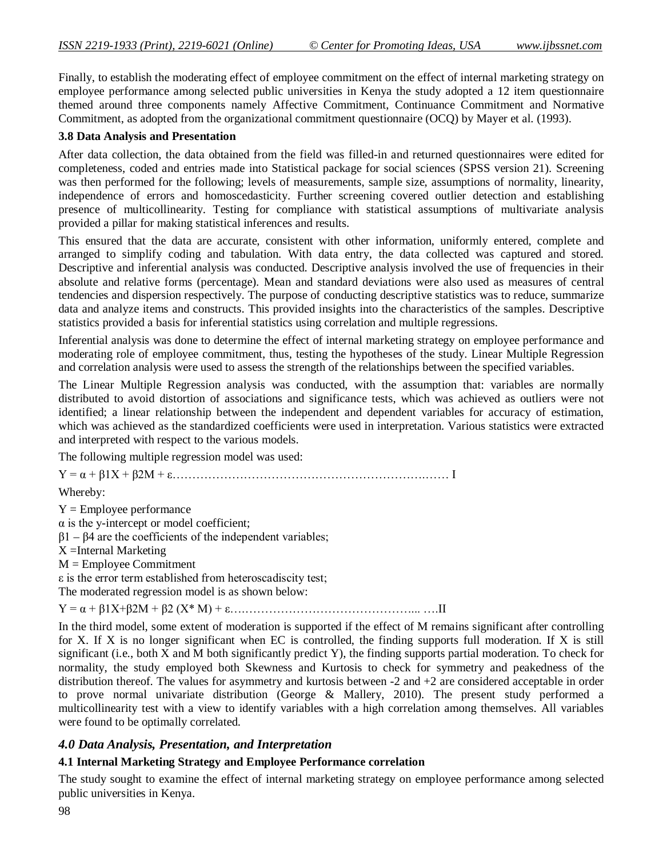Finally, to establish the moderating effect of employee commitment on the effect of internal marketing strategy on employee performance among selected public universities in Kenya the study adopted a 12 item questionnaire themed around three components namely Affective Commitment, Continuance Commitment and Normative Commitment, as adopted from the organizational commitment questionnaire (OCQ) by Mayer et al. (1993).

## **3.8 Data Analysis and Presentation**

After data collection, the data obtained from the field was filled-in and returned questionnaires were edited for completeness, coded and entries made into Statistical package for social sciences (SPSS version 21). Screening was then performed for the following; levels of measurements, sample size, assumptions of normality, linearity, independence of errors and homoscedasticity. Further screening covered outlier detection and establishing presence of multicollinearity. Testing for compliance with statistical assumptions of multivariate analysis provided a pillar for making statistical inferences and results.

This ensured that the data are accurate, consistent with other information, uniformly entered, complete and arranged to simplify coding and tabulation. With data entry, the data collected was captured and stored. Descriptive and inferential analysis was conducted. Descriptive analysis involved the use of frequencies in their absolute and relative forms (percentage). Mean and standard deviations were also used as measures of central tendencies and dispersion respectively. The purpose of conducting descriptive statistics was to reduce, summarize data and analyze items and constructs. This provided insights into the characteristics of the samples. Descriptive statistics provided a basis for inferential statistics using correlation and multiple regressions.

Inferential analysis was done to determine the effect of internal marketing strategy on employee performance and moderating role of employee commitment, thus, testing the hypotheses of the study. Linear Multiple Regression and correlation analysis were used to assess the strength of the relationships between the specified variables.

The Linear Multiple Regression analysis was conducted, with the assumption that: variables are normally distributed to avoid distortion of associations and significance tests, which was achieved as outliers were not identified; a linear relationship between the independent and dependent variables for accuracy of estimation, which was achieved as the standardized coefficients were used in interpretation. Various statistics were extracted and interpreted with respect to the various models.

The following multiple regression model was used:

Y = α + β1X + β2M + ε……………………………………………………….…… I

Whereby:

 $Y =$  Employee performance α is the y-intercept or model coefficient;  $β1 - β4$  are the coefficients of the independent variables; X =Internal Marketing M = Employee Commitment ε is the error term established from heteroscadiscity test; The moderated regression model is as shown below:

Y = α + β1X+β2M + β2 (X\* M) + ε….……………………………………... ….II

In the third model, some extent of moderation is supported if the effect of M remains significant after controlling for X. If X is no longer significant when EC is controlled, the finding supports full moderation. If X is still significant (i.e., both X and M both significantly predict Y), the finding supports partial moderation. To check for normality, the study employed both Skewness and Kurtosis to check for symmetry and peakedness of the distribution thereof. The values for asymmetry and kurtosis between -2 and +2 are considered acceptable in order to prove normal univariate distribution (George & Mallery, 2010). The present study performed a multicollinearity test with a view to identify variables with a high correlation among themselves. All variables were found to be optimally correlated.

## *4.0 Data Analysis, Presentation, and Interpretation*

## **4.1 Internal Marketing Strategy and Employee Performance correlation**

The study sought to examine the effect of internal marketing strategy on employee performance among selected public universities in Kenya.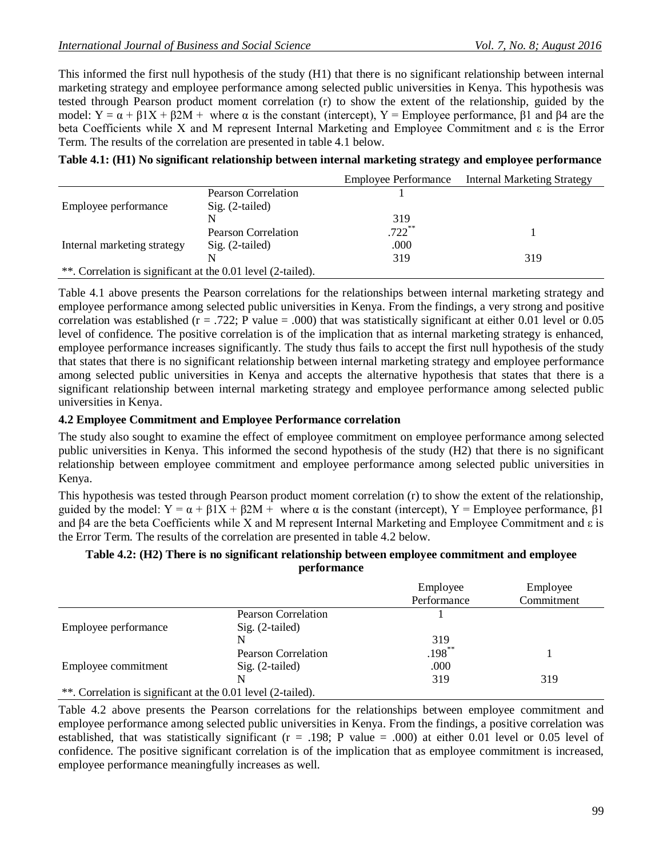This informed the first null hypothesis of the study (H1) that there is no significant relationship between internal marketing strategy and employee performance among selected public universities in Kenya. This hypothesis was tested through Pearson product moment correlation (r) to show the extent of the relationship, guided by the model:  $Y = \alpha + \beta 1X + \beta 2M$  + where α is the constant (intercept),  $Y =$  Employee performance,  $\beta 1$  and  $\beta 4$  are the beta Coefficients while X and M represent Internal Marketing and Employee Commitment and ε is the Error Term. The results of the correlation are presented in table 4.1 below.

|                                                              |                     | <b>Employee Performance</b> | <b>Internal Marketing Strategy</b> |  |  |
|--------------------------------------------------------------|---------------------|-----------------------------|------------------------------------|--|--|
|                                                              | Pearson Correlation |                             |                                    |  |  |
| Employee performance                                         | $Sig. (2-tailed)$   |                             |                                    |  |  |
|                                                              |                     | 319                         |                                    |  |  |
|                                                              | Pearson Correlation | $.722$ **                   |                                    |  |  |
| Internal marketing strategy                                  | $Sig. (2-tailed)$   | .000                        |                                    |  |  |
|                                                              |                     | 319                         | 319                                |  |  |
| **. Correlation is significant at the 0.01 level (2-tailed). |                     |                             |                                    |  |  |

Table 4.1 above presents the Pearson correlations for the relationships between internal marketing strategy and employee performance among selected public universities in Kenya. From the findings, a very strong and positive correlation was established ( $r = .722$ ; P value = .000) that was statistically significant at either 0.01 level or 0.05 level of confidence. The positive correlation is of the implication that as internal marketing strategy is enhanced, employee performance increases significantly. The study thus fails to accept the first null hypothesis of the study that states that there is no significant relationship between internal marketing strategy and employee performance among selected public universities in Kenya and accepts the alternative hypothesis that states that there is a significant relationship between internal marketing strategy and employee performance among selected public universities in Kenya.

## **4.2 Employee Commitment and Employee Performance correlation**

The study also sought to examine the effect of employee commitment on employee performance among selected public universities in Kenya. This informed the second hypothesis of the study (H2) that there is no significant relationship between employee commitment and employee performance among selected public universities in Kenya.

This hypothesis was tested through Pearson product moment correlation (r) to show the extent of the relationship, guided by the model:  $Y = \alpha + \beta 1X + \beta 2M +$  where  $\alpha$  is the constant (intercept),  $Y =$  Employee performance,  $\beta 1$ and β4 are the beta Coefficients while X and M represent Internal Marketing and Employee Commitment and ε is the Error Term. The results of the correlation are presented in table 4.2 below.

## **Table 4.2: (H2) There is no significant relationship between employee commitment and employee performance**

|                                                              |                            | Employee    | Employee   |  |  |
|--------------------------------------------------------------|----------------------------|-------------|------------|--|--|
|                                                              |                            | Performance | Commitment |  |  |
|                                                              | <b>Pearson Correlation</b> |             |            |  |  |
| Employee performance                                         | $Sig. (2-tailed)$          |             |            |  |  |
|                                                              |                            | 319         |            |  |  |
|                                                              | <b>Pearson Correlation</b> | $.198***$   |            |  |  |
| Employee commitment                                          | $Sig. (2-tailed)$          | .000        |            |  |  |
|                                                              |                            | 319         | 319        |  |  |
| **. Correlation is significant at the 0.01 level (2-tailed). |                            |             |            |  |  |

Table 4.2 above presents the Pearson correlations for the relationships between employee commitment and employee performance among selected public universities in Kenya. From the findings, a positive correlation was established, that was statistically significant (r = .198; P value = .000) at either 0.01 level or 0.05 level of confidence. The positive significant correlation is of the implication that as employee commitment is increased, employee performance meaningfully increases as well.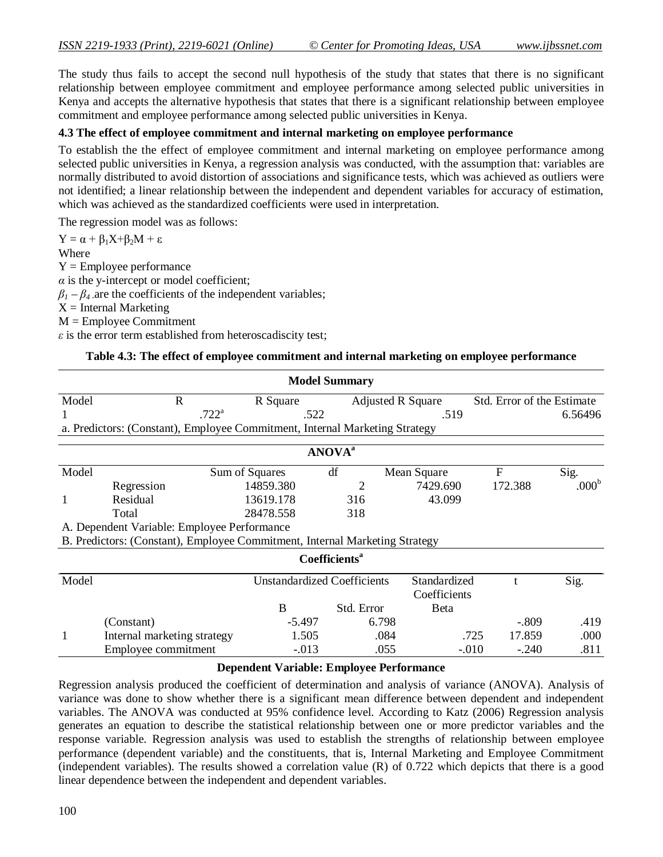The study thus fails to accept the second null hypothesis of the study that states that there is no significant relationship between employee commitment and employee performance among selected public universities in Kenya and accepts the alternative hypothesis that states that there is a significant relationship between employee commitment and employee performance among selected public universities in Kenya.

#### **4.3 The effect of employee commitment and internal marketing on employee performance**

To establish the the effect of employee commitment and internal marketing on employee performance among selected public universities in Kenya, a regression analysis was conducted, with the assumption that: variables are normally distributed to avoid distortion of associations and significance tests, which was achieved as outliers were not identified; a linear relationship between the independent and dependent variables for accuracy of estimation, which was achieved as the standardized coefficients were used in interpretation.

The regression model was as follows:

 $Y = \alpha + \beta_1 X + \beta_2 M + \varepsilon$ Where  $Y =$  Employee performance *α* is the y-intercept or model coefficient;  $\beta_1 - \beta_4$  are the coefficients of the independent variables;  $X =$  Internal Marketing M = Employee Commitment *ε* is the error term established from heteroscadiscity test;

#### **Table 4.3: The effect of employee commitment and internal marketing on employee performance**

|       |                                                                             |                                    | <b>Model Summary</b>             |              |             |                            |                   |
|-------|-----------------------------------------------------------------------------|------------------------------------|----------------------------------|--------------|-------------|----------------------------|-------------------|
| Model | $\mathbf R$                                                                 | R Square                           | <b>Adjusted R Square</b>         |              |             | Std. Error of the Estimate |                   |
| 1     | $.722^{\rm a}$                                                              | .522                               |                                  | .519         |             |                            | 6.56496           |
|       | a. Predictors: (Constant), Employee Commitment, Internal Marketing Strategy |                                    |                                  |              |             |                            |                   |
|       |                                                                             |                                    | <b>ANOVA</b> <sup>a</sup>        |              |             |                            |                   |
| Model |                                                                             | Sum of Squares                     | df                               | Mean Square  | F           |                            | Sig.              |
|       | Regression                                                                  | 14859.380                          | 2                                | 7429.690     | 172.388     |                            | .000 <sup>b</sup> |
| 1     | Residual                                                                    | 13619.178                          | 316                              | 43.099       |             |                            |                   |
|       | Total                                                                       | 28478.558                          | 318                              |              |             |                            |                   |
|       | A. Dependent Variable: Employee Performance                                 |                                    |                                  |              |             |                            |                   |
|       | B. Predictors: (Constant), Employee Commitment, Internal Marketing Strategy |                                    |                                  |              |             |                            |                   |
|       |                                                                             |                                    | <b>Coefficients</b> <sup>a</sup> |              |             |                            |                   |
| Model |                                                                             | <b>Unstandardized Coefficients</b> |                                  | Standardized | $\mathbf t$ |                            | Sig.              |
|       |                                                                             |                                    |                                  | Coefficients |             |                            |                   |
|       |                                                                             | B                                  | Std. Error                       | <b>B</b> eta |             |                            |                   |
|       | (Constant)                                                                  | $-5.497$                           |                                  | 6.798        |             | $-.809$                    | .419              |
| 1     | Internal marketing strategy                                                 | 1.505                              |                                  | .084         | .725        | 17.859                     | .000              |
|       | Employee commitment                                                         | $-.013$                            |                                  | .055         | $-.010$     | $-.240$                    | .811              |

#### **Dependent Variable: Employee Performance**

Regression analysis produced the coefficient of determination and analysis of variance (ANOVA). Analysis of variance was done to show whether there is a significant mean difference between dependent and independent variables. The ANOVA was conducted at 95% confidence level. According to Katz (2006) Regression analysis generates an equation to describe the statistical relationship between one or more predictor variables and the response variable. Regression analysis was used to establish the strengths of relationship between employee performance (dependent variable) and the constituents, that is, Internal Marketing and Employee Commitment (independent variables). The results showed a correlation value (R) of 0.722 which depicts that there is a good linear dependence between the independent and dependent variables.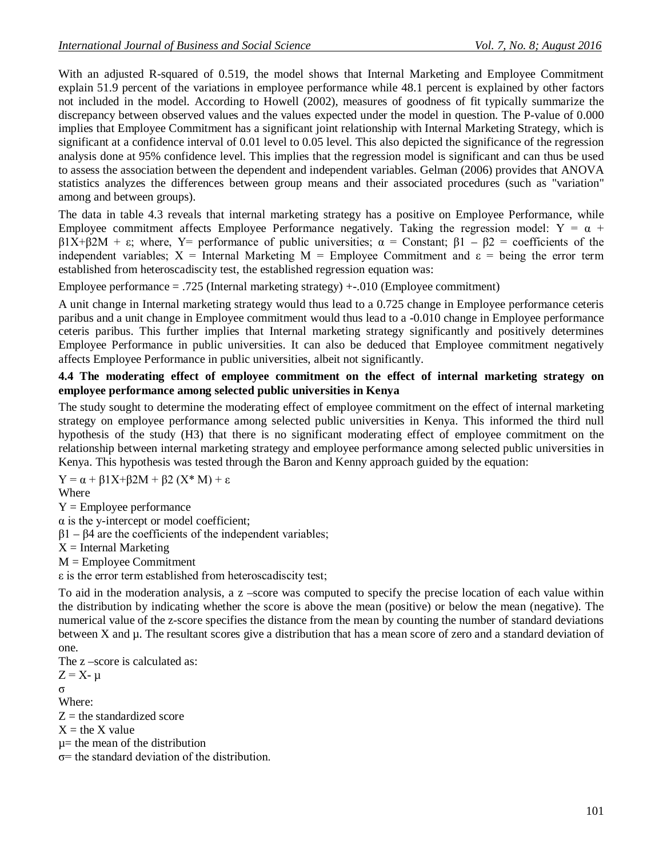With an adjusted R-squared of 0.519, the model shows that Internal Marketing and Employee Commitment explain 51.9 percent of the variations in employee performance while 48.1 percent is explained by other factors not included in the model. According to Howell (2002), measures of goodness of fit typically summarize the discrepancy between observed values and the values expected under the model in question. The P-value of 0.000 implies that Employee Commitment has a significant joint relationship with Internal Marketing Strategy, which is significant at a confidence interval of 0.01 level to 0.05 level. This also depicted the significance of the regression analysis done at 95% confidence level. This implies that the regression model is significant and can thus be used to assess the association between the dependent and independent variables. Gelman (2006) provides that ANOVA statistics analyzes the differences between group means and their associated procedures (such as "variation" among and between groups).

The data in table 4.3 reveals that internal marketing strategy has a positive on Employee Performance, while Employee commitment affects Employee Performance negatively. Taking the regression model:  $Y = \alpha +$ β1X+β2M + ε; where, Y= performance of public universities; α = Constant; β1 – β2 = coefficients of the independent variables;  $X =$  Internal Marketing M = Employee Commitment and  $\varepsilon =$  being the error term established from heteroscadiscity test, the established regression equation was:

Employee performance  $= .725$  (Internal marketing strategy)  $+-.010$  (Employee commitment)

A unit change in Internal marketing strategy would thus lead to a 0.725 change in Employee performance ceteris paribus and a unit change in Employee commitment would thus lead to a -0.010 change in Employee performance ceteris paribus. This further implies that Internal marketing strategy significantly and positively determines Employee Performance in public universities. It can also be deduced that Employee commitment negatively affects Employee Performance in public universities, albeit not significantly.

## **4.4 The moderating effect of employee commitment on the effect of internal marketing strategy on employee performance among selected public universities in Kenya**

The study sought to determine the moderating effect of employee commitment on the effect of internal marketing strategy on employee performance among selected public universities in Kenya. This informed the third null hypothesis of the study (H3) that there is no significant moderating effect of employee commitment on the relationship between internal marketing strategy and employee performance among selected public universities in Kenya. This hypothesis was tested through the Baron and Kenny approach guided by the equation:

 $Y = \alpha + \beta 1X + \beta 2M + \beta 2(X^*M) + \varepsilon$ Where

 $Y =$  Employee performance

 $\alpha$  is the y-intercept or model coefficient;

 $β1 - β4$  are the coefficients of the independent variables;

 $X =$ Internal Marketing

M = Employee Commitment

ε is the error term established from heteroscadiscity test;

To aid in the moderation analysis, a z –score was computed to specify the precise location of each value within the distribution by indicating whether the score is above the mean (positive) or below the mean (negative). The numerical value of the z-score specifies the distance from the mean by counting the number of standard deviations between X and µ. The resultant scores give a distribution that has a mean score of zero and a standard deviation of one.

The z –score is calculated as:  $Z = X - \mu$ 

σ

Where:

 $Z =$  the standardized score

 $X =$  the X value

µ= the mean of the distribution

 $\sigma$ = the standard deviation of the distribution.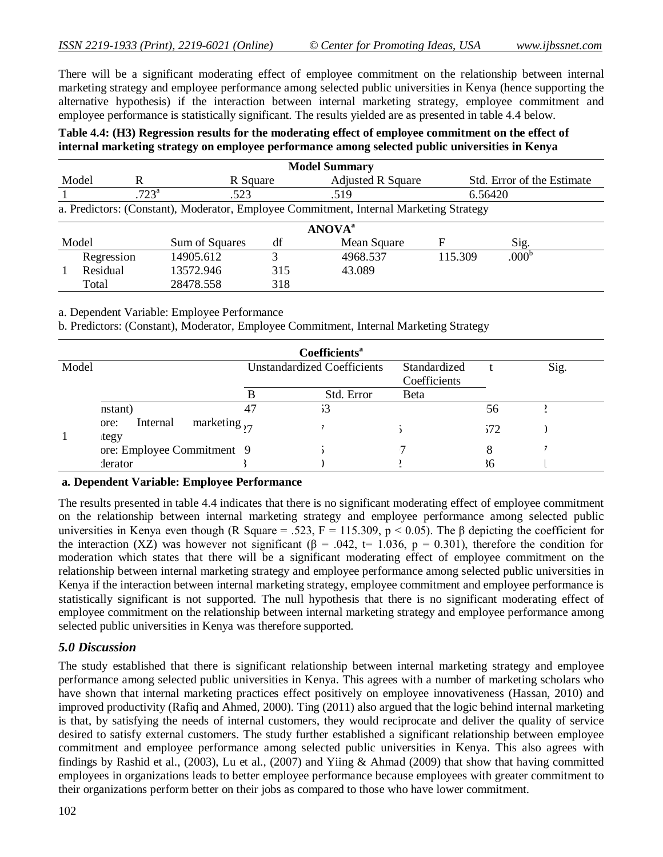There will be a significant moderating effect of employee commitment on the relationship between internal marketing strategy and employee performance among selected public universities in Kenya (hence supporting the alternative hypothesis) if the interaction between internal marketing strategy, employee commitment and employee performance is statistically significant. The results yielded are as presented in table 4.4 below.

#### **Table 4.4: (H3) Regression results for the moderating effect of employee commitment on the effect of internal marketing strategy on employee performance among selected public universities in Kenya**

|                         | <b>Model Summary</b>                                                                   |           |             |                          |         |                            |  |  |
|-------------------------|----------------------------------------------------------------------------------------|-----------|-------------|--------------------------|---------|----------------------------|--|--|
|                         | Model<br>R                                                                             | R Square  |             | <b>Adjusted R Square</b> |         | Std. Error of the Estimate |  |  |
|                         | $.723^{\circ}$                                                                         | .523      |             | .519                     |         | 6.56420                    |  |  |
|                         | a. Predictors: (Constant), Moderator, Employee Commitment, Internal Marketing Strategy |           |             |                          |         |                            |  |  |
|                         | <b>ANOVA</b> <sup>a</sup>                                                              |           |             |                          |         |                            |  |  |
| Model<br>Sum of Squares |                                                                                        | df        | Mean Square | F                        | Sig.    |                            |  |  |
|                         | Regression                                                                             | 14905.612 | 3           | 4968.537                 | 115.309 | .000 <sup>b</sup>          |  |  |
|                         | Residual                                                                               | 13572.946 | 315         | 43.089                   |         |                            |  |  |
|                         | Total                                                                                  | 28478.558 | 318         |                          |         |                            |  |  |

a. Dependent Variable: Employee Performance

b. Predictors: (Constant), Moderator, Employee Commitment, Internal Marketing Strategy

| Coefficients <sup>a</sup> |                                               |                                    |            |              |     |      |  |  |  |
|---------------------------|-----------------------------------------------|------------------------------------|------------|--------------|-----|------|--|--|--|
| Model                     |                                               | <b>Unstandardized Coefficients</b> |            | Standardized |     | Sig. |  |  |  |
|                           |                                               |                                    |            | Coefficients |     |      |  |  |  |
|                           |                                               |                                    | Std. Error | <b>B</b> eta |     |      |  |  |  |
|                           | nstant)                                       |                                    | 53         |              | 56  |      |  |  |  |
|                           | marketing $_{27}$<br>Internal<br>ore:<br>tegy |                                    |            |              | 572 |      |  |  |  |
|                           | ore: Employee Commitment 9                    |                                    |            |              |     |      |  |  |  |
|                           | derator                                       |                                    |            |              |     |      |  |  |  |

#### **a. Dependent Variable: Employee Performance**

The results presented in table 4.4 indicates that there is no significant moderating effect of employee commitment on the relationship between internal marketing strategy and employee performance among selected public universities in Kenya even though (R Square = .523, F = 115.309,  $p < 0.05$ ). The β depicting the coefficient for the interaction (XZ) was however not significant ( $\beta$  = .042, t= 1.036, p = 0.301), therefore the condition for moderation which states that there will be a significant moderating effect of employee commitment on the relationship between internal marketing strategy and employee performance among selected public universities in Kenya if the interaction between internal marketing strategy, employee commitment and employee performance is statistically significant is not supported. The null hypothesis that there is no significant moderating effect of employee commitment on the relationship between internal marketing strategy and employee performance among selected public universities in Kenya was therefore supported.

## *5.0 Discussion*

The study established that there is significant relationship between internal marketing strategy and employee performance among selected public universities in Kenya. This agrees with a number of marketing scholars who have shown that internal marketing practices effect positively on employee innovativeness (Hassan, 2010) and improved productivity (Rafiq and Ahmed, 2000). Ting (2011) also argued that the logic behind internal marketing is that, by satisfying the needs of internal customers, they would reciprocate and deliver the quality of service desired to satisfy external customers. The study further established a significant relationship between employee commitment and employee performance among selected public universities in Kenya. This also agrees with findings by Rashid et al., (2003), Lu et al., (2007) and Yiing & Ahmad (2009) that show that having committed employees in organizations leads to better employee performance because employees with greater commitment to their organizations perform better on their jobs as compared to those who have lower commitment.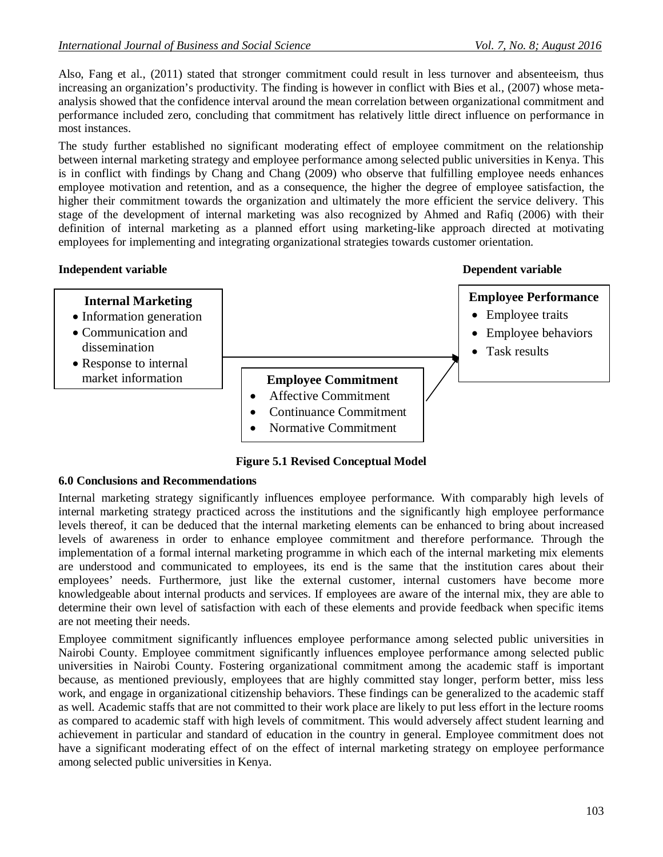Also, Fang et al., (2011) stated that stronger commitment could result in less turnover and absenteeism, thus increasing an organization's productivity. The finding is however in conflict with Bies et al., (2007) whose metaanalysis showed that the confidence interval around the mean correlation between organizational commitment and performance included zero, concluding that commitment has relatively little direct influence on performance in most instances.

The study further established no significant moderating effect of employee commitment on the relationship between internal marketing strategy and employee performance among selected public universities in Kenya. This is in conflict with findings by Chang and Chang (2009) who observe that fulfilling employee needs enhances employee motivation and retention, and as a consequence, the higher the degree of employee satisfaction, the higher their commitment towards the organization and ultimately the more efficient the service delivery. This stage of the development of internal marketing was also recognized by Ahmed and Rafiq (2006) with their definition of internal marketing as a planned effort using marketing-like approach directed at motivating employees for implementing and integrating organizational strategies towards customer orientation.

#### **Independent variable in the contract of the contract of the contract of the Dependent variable •** Affective Commitment **Internal Marketing** • Information generation Communication and dissemination Response to internal market information **Employee Performance** • Employee traits • Employee behaviors • Task results **Employee Commitment** Continuance Commitment Normative Commitment

**Figure 5.1 Revised Conceptual Model**

#### **6.0 Conclusions and Recommendations**

Internal marketing strategy significantly influences employee performance. With comparably high levels of internal marketing strategy practiced across the institutions and the significantly high employee performance levels thereof, it can be deduced that the internal marketing elements can be enhanced to bring about increased levels of awareness in order to enhance employee commitment and therefore performance. Through the implementation of a formal internal marketing programme in which each of the internal marketing mix elements are understood and communicated to employees, its end is the same that the institution cares about their employees' needs. Furthermore, just like the external customer, internal customers have become more knowledgeable about internal products and services. If employees are aware of the internal mix, they are able to determine their own level of satisfaction with each of these elements and provide feedback when specific items are not meeting their needs.

Employee commitment significantly influences employee performance among selected public universities in Nairobi County. Employee commitment significantly influences employee performance among selected public universities in Nairobi County. Fostering organizational commitment among the academic staff is important because, as mentioned previously, employees that are highly committed stay longer, perform better, miss less work, and engage in organizational citizenship behaviors. These findings can be generalized to the academic staff as well. Academic staffs that are not committed to their work place are likely to put less effort in the lecture rooms as compared to academic staff with high levels of commitment. This would adversely affect student learning and achievement in particular and standard of education in the country in general. Employee commitment does not have a significant moderating effect of on the effect of internal marketing strategy on employee performance among selected public universities in Kenya.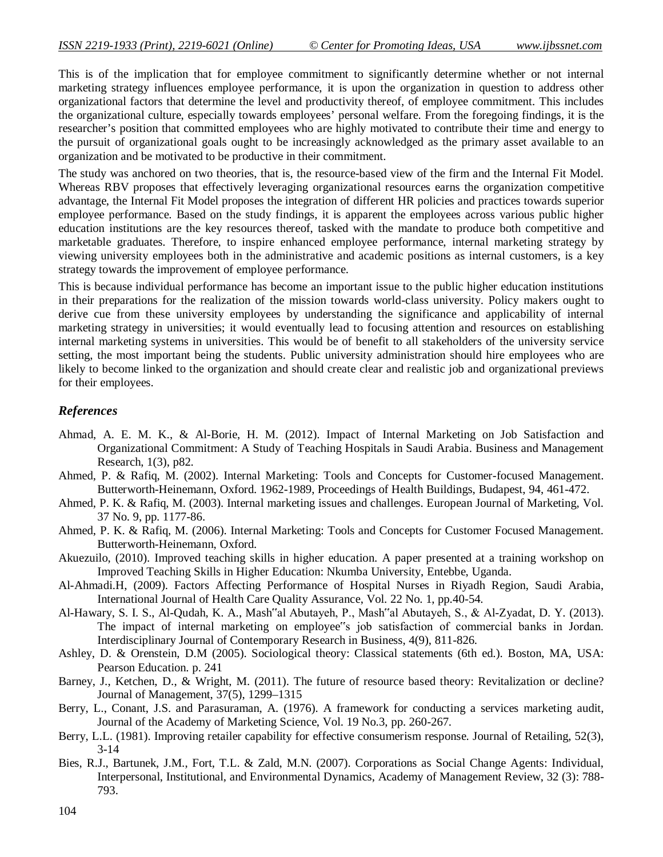This is of the implication that for employee commitment to significantly determine whether or not internal marketing strategy influences employee performance, it is upon the organization in question to address other organizational factors that determine the level and productivity thereof, of employee commitment. This includes the organizational culture, especially towards employees' personal welfare. From the foregoing findings, it is the researcher's position that committed employees who are highly motivated to contribute their time and energy to the pursuit of organizational goals ought to be increasingly acknowledged as the primary asset available to an organization and be motivated to be productive in their commitment.

The study was anchored on two theories, that is, the resource-based view of the firm and the Internal Fit Model. Whereas RBV proposes that effectively leveraging organizational resources earns the organization competitive advantage, the Internal Fit Model proposes the integration of different HR policies and practices towards superior employee performance. Based on the study findings, it is apparent the employees across various public higher education institutions are the key resources thereof, tasked with the mandate to produce both competitive and marketable graduates. Therefore, to inspire enhanced employee performance, internal marketing strategy by viewing university employees both in the administrative and academic positions as internal customers, is a key strategy towards the improvement of employee performance.

This is because individual performance has become an important issue to the public higher education institutions in their preparations for the realization of the mission towards world-class university. Policy makers ought to derive cue from these university employees by understanding the significance and applicability of internal marketing strategy in universities; it would eventually lead to focusing attention and resources on establishing internal marketing systems in universities. This would be of benefit to all stakeholders of the university service setting, the most important being the students. Public university administration should hire employees who are likely to become linked to the organization and should create clear and realistic job and organizational previews for their employees.

## *References*

- Ahmad, A. E. M. K., & Al-Borie, H. M. (2012). Impact of Internal Marketing on Job Satisfaction and Organizational Commitment: A Study of Teaching Hospitals in Saudi Arabia. Business and Management Research, 1(3), p82.
- Ahmed, P. & Rafiq, M. (2002). Internal Marketing: Tools and Concepts for Customer-focused Management. Butterworth-Heinemann, Oxford. 1962-1989, Proceedings of Health Buildings, Budapest, 94, 461-472.
- Ahmed, P. K. & Rafiq, M. (2003). Internal marketing issues and challenges. European Journal of Marketing, Vol. 37 No. 9, pp. 1177-86.
- Ahmed, P. K. & Rafiq, M. (2006). Internal Marketing: Tools and Concepts for Customer Focused Management. Butterworth-Heinemann, Oxford.
- Akuezuilo, (2010). Improved teaching skills in higher education. A paper presented at a training workshop on Improved Teaching Skills in Higher Education: Nkumba University, Entebbe, Uganda.
- Al-Ahmadi.H, (2009). Factors Affecting Performance of Hospital Nurses in Riyadh Region, Saudi Arabia, International Journal of Health Care Quality Assurance, Vol. 22 No. 1, pp.40-54.
- Al-Hawary, S. I. S., Al-Qudah, K. A., Mash"al Abutayeh, P., Mash"al Abutayeh, S., & Al-Zyadat, D. Y. (2013). The impact of internal marketing on employee"s job satisfaction of commercial banks in Jordan. Interdisciplinary Journal of Contemporary Research in Business, 4(9), 811-826.
- Ashley, D. & Orenstein, D.M (2005). Sociological theory: Classical statements (6th ed.). Boston, MA, USA: Pearson Education. p. 241
- Barney, J., Ketchen, D., & Wright, M. (2011). The future of resource based theory: Revitalization or decline? Journal of Management, 37(5), 1299–1315
- Berry, L., Conant, J.S. and Parasuraman, A. (1976). A framework for conducting a services marketing audit, Journal of the Academy of Marketing Science, Vol. 19 No.3, pp. 260-267.
- Berry, L.L. (1981). Improving retailer capability for effective consumerism response. Journal of Retailing, 52(3), 3-14
- Bies, R.J., Bartunek, J.M., Fort, T.L. & Zald, M.N. (2007). Corporations as Social Change Agents: Individual, Interpersonal, Institutional, and Environmental Dynamics, Academy of Management Review, 32 (3): 788- 793.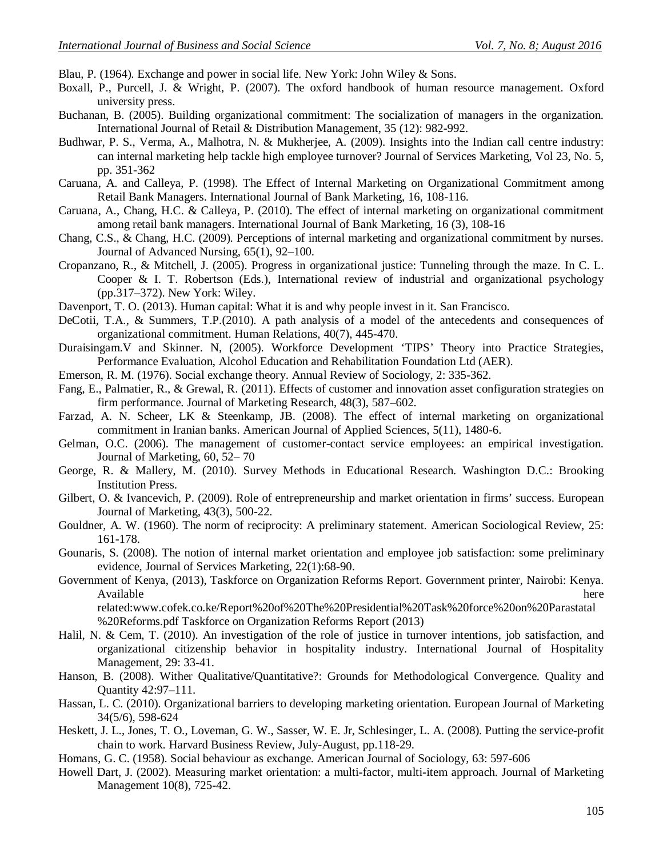Blau, P. (1964). Exchange and power in social life. New York: John Wiley & Sons.

- Boxall, P., Purcell, J. & Wright, P. (2007). The oxford handbook of human resource management. Oxford university press.
- Buchanan, B. (2005). Building organizational commitment: The socialization of managers in the organization. International Journal of Retail & Distribution Management, 35 (12): 982-992.
- Budhwar, P. S., Verma, A., Malhotra, N. & Mukherjee, A. (2009). Insights into the Indian call centre industry: can internal marketing help tackle high employee turnover? Journal of Services Marketing, Vol 23, No. 5, pp. 351-362
- Caruana, A. and Calleya, P. (1998). The Effect of Internal Marketing on Organizational Commitment among Retail Bank Managers. International Journal of Bank Marketing, 16, 108-116.
- Caruana, A., Chang, H.C. & Calleya, P. (2010). The effect of internal marketing on organizational commitment among retail bank managers. International Journal of Bank Marketing, 16 (3), 108-16
- Chang, C.S., & Chang, H.C. (2009). Perceptions of internal marketing and organizational commitment by nurses. Journal of Advanced Nursing, 65(1), 92–100.
- Cropanzano, R., & Mitchell, J. (2005). Progress in organizational justice: Tunneling through the maze. In C. L. Cooper  $\&$  I. T. Robertson (Eds.), International review of industrial and organizational psychology (pp.317–372). New York: Wiley.
- Davenport, T. O. (2013). Human capital: What it is and why people invest in it. San Francisco.
- DeCotii, T.A., & Summers, T.P.(2010). A path analysis of a model of the antecedents and consequences of organizational commitment. Human Relations, 40(7), 445-470.
- Duraisingam.V and Skinner. N, (2005). Workforce Development 'TIPS' Theory into Practice Strategies, Performance Evaluation, Alcohol Education and Rehabilitation Foundation Ltd (AER).
- Emerson, R. M. (1976). Social exchange theory. Annual Review of Sociology, 2: 335-362.
- Fang, E., Palmatier, R., & Grewal, R. (2011). Effects of customer and innovation asset configuration strategies on firm performance. Journal of Marketing Research, 48(3), 587–602.
- Farzad, A. N. Scheer, LK & Steenkamp, JB. (2008). The effect of internal marketing on organizational commitment in Iranian banks. American Journal of Applied Sciences, 5(11), 1480-6.
- Gelman, O.C. (2006). The management of customer-contact service employees: an empirical investigation. Journal of Marketing, 60, 52– 70
- George, R. & Mallery, M. (2010). Survey Methods in Educational Research. Washington D.C.: Brooking Institution Press.
- Gilbert, O. & Ivancevich, P. (2009). Role of entrepreneurship and market orientation in firms' success. European Journal of Marketing, 43(3), 500-22.
- Gouldner, A. W. (1960). The norm of reciprocity: A preliminary statement. American Sociological Review, 25: 161-178.
- Gounaris, S. (2008). The notion of internal market orientation and employee job satisfaction: some preliminary evidence, Journal of Services Marketing, 22(1):68-90.
- Government of Kenya, (2013), Taskforce on Organization Reforms Report. Government printer, Nairobi: Kenya. Available here related:www.cofek.co.ke/Report%20of%20The%20Presidential%20Task%20force%20on%20Parastatal

%20Reforms.pdf Taskforce on Organization Reforms Report (2013)

- Halil, N. & Cem, T. (2010). An investigation of the role of justice in turnover intentions, job satisfaction, and organizational citizenship behavior in hospitality industry. International Journal of Hospitality Management, 29: 33-41.
- Hanson, B. (2008). Wither Qualitative/Quantitative?: Grounds for Methodological Convergence. Quality and Quantity 42:97–111.
- Hassan, L. C. (2010). Organizational barriers to developing marketing orientation. European Journal of Marketing 34(5/6), 598-624
- Heskett, J. L., Jones, T. O., Loveman, G. W., Sasser, W. E. Jr, Schlesinger, L. A. (2008). Putting the service-profit chain to work. Harvard Business Review, July-August, pp.118-29.
- Homans, G. C. (1958). Social behaviour as exchange. American Journal of Sociology, 63: 597-606
- Howell Dart, J. (2002). Measuring market orientation: a multi-factor, multi-item approach. Journal of Marketing Management 10(8), 725-42.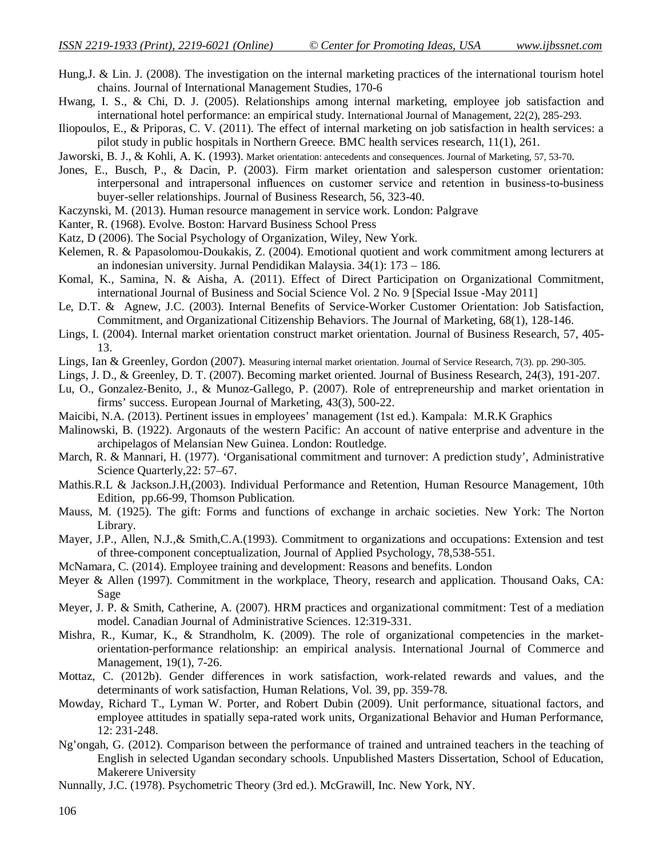Hung,J. & Lin. J. (2008). The investigation on the internal marketing practices of the international tourism hotel chains. Journal of International Management Studies, 170-6

Hwang, I. S., & Chi, D. J. (2005). Relationships among internal marketing, employee job satisfaction and international hotel performance: an empirical study. International Journal of Management, 22(2), 285-293.

Iliopoulos, E., & Priporas, C. V. (2011). The effect of internal marketing on job satisfaction in health services: a pilot study in public hospitals in Northern Greece. BMC health services research, 11(1), 261.

Jaworski, B. J., & Kohli, A. K. (1993). Market orientation: antecedents and consequences. Journal of Marketing, 57, 53-70.

- Jones, E., Busch, P., & Dacin, P. (2003). Firm market orientation and salesperson customer orientation: interpersonal and intrapersonal influences on customer service and retention in business-to-business buyer-seller relationships. Journal of Business Research, 56, 323-40.
- Kaczynski, M. (2013). Human resource management in service work. London: Palgrave
- Kanter, R. (1968). Evolve. Boston: Harvard Business School Press
- Katz, D (2006). The Social Psychology of Organization, Wiley, New York.
- Kelemen, R. & Papasolomou-Doukakis, Z. (2004). Emotional quotient and work commitment among lecturers at an indonesian university. Jurnal Pendidikan Malaysia. 34(1): 173 – 186.
- Komal, K., Samina, N. & Aisha, A. (2011). Effect of Direct Participation on Organizational Commitment, international Journal of Business and Social Science Vol. 2 No. 9 [Special Issue -May 2011]
- Le, D.T. & Agnew, J.C. (2003). Internal Benefits of Service-Worker Customer Orientation: Job Satisfaction, Commitment, and Organizational Citizenship Behaviors. The Journal of Marketing, 68(1), 128-146.
- Lings, I. (2004). Internal market orientation construct market orientation. Journal of Business Research, 57, 405- 13.
- Lings, Ian & Greenley, Gordon (2007). Measuring internal market orientation. Journal of Service Research, 7(3). pp. 290-305.
- Lings, J. D., & Greenley, D. T. (2007). Becoming market oriented. Journal of Business Research, 24(3), 191-207.
- Lu, O., Gonzalez-Benito, J., & Munoz-Gallego, P. (2007). Role of entrepreneurship and market orientation in firms' success. European Journal of Marketing, 43(3), 500-22.
- Maicibi, N.A. (2013). Pertinent issues in employees' management (1st ed.). Kampala: M.R.K Graphics
- Malinowski, B. (1922). Argonauts of the western Pacific: An account of native enterprise and adventure in the archipelagos of Melansian New Guinea. London: Routledge.
- March, R. & Mannari, H. (1977). 'Organisational commitment and turnover: A prediction study', Administrative Science Quarterly,22: 57–67.
- Mathis.R.L & Jackson.J.H,(2003). Individual Performance and Retention, Human Resource Management, 10th Edition, pp.66-99, Thomson Publication.
- Mauss, M. (1925). The gift: Forms and functions of exchange in archaic societies. New York: The Norton Library.
- Mayer, J.P., Allen, N.J.,& Smith,C.A.(1993). Commitment to organizations and occupations: Extension and test of three-component conceptualization, Journal of Applied Psychology, 78,538-551.
- McNamara, C. (2014). Employee training and development: Reasons and benefits. London
- Meyer & Allen (1997). Commitment in the workplace, Theory, research and application. Thousand Oaks, CA: Sage
- Meyer, J. P. & Smith, Catherine, A. (2007). HRM practices and organizational commitment: Test of a mediation model. Canadian Journal of Administrative Sciences. 12:319-331.
- Mishra, R., Kumar, K., & Strandholm, K. (2009). The role of organizational competencies in the marketorientation-performance relationship: an empirical analysis. International Journal of Commerce and Management, 19(1), 7-26.
- Mottaz, C. (2012b). Gender differences in work satisfaction, work-related rewards and values, and the determinants of work satisfaction, Human Relations, Vol. 39, pp. 359-78.
- Mowday, Richard T., Lyman W. Porter, and Robert Dubin (2009). Unit performance, situational factors, and employee attitudes in spatially sepa-rated work units, Organizational Behavior and Human Performance, 12: 231-248.
- Ng'ongah, G. (2012). Comparison between the performance of trained and untrained teachers in the teaching of English in selected Ugandan secondary schools. Unpublished Masters Dissertation, School of Education, Makerere University
- Nunnally, J.C. (1978). Psychometric Theory (3rd ed.). McGrawill, Inc. New York, NY.